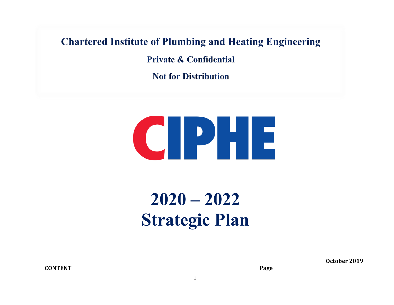## **Chartered Institute of Plumbing and Heating Engineering**

**Private & Confidential** 

**Not for Distribution** 



# **2020 – 2022 Strategic Plan**

**CONTENT Page**

**October 2019**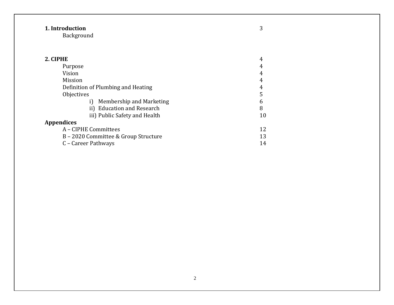## **1. Introduction** 3

Background

| 2. CIPHE                             | 4  |
|--------------------------------------|----|
| Purpose                              | 4  |
| Vision                               | 4  |
| Mission                              | 4  |
| Definition of Plumbing and Heating   | 4  |
| Objectives                           | 5  |
| Membership and Marketing             | 6  |
| ii) Education and Research           | 8  |
| iii) Public Safety and Health        | 10 |
| <b>Appendices</b>                    |    |
| A - CIPHE Committees                 | 12 |
| B – 2020 Committee & Group Structure | 13 |
| C – Career Pathways                  | 14 |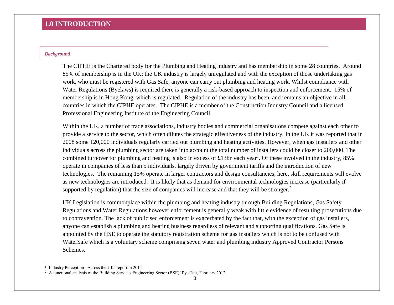## **1.0 INTRODUCTION**

#### *Background*

The CIPHE is the Chartered body for the Plumbing and Heating industry and has membership in some 28 countries. Around 85% of membership is in the UK; the UK industry is largely unregulated and with the exception of those undertaking gas work, who must be registered with Gas Safe, anyone can carry out plumbing and heating work. Whilst compliance with Water Regulations (Byelaws) is required there is generally a risk-based approach to inspection and enforcement. 15% of membership is in Hong Kong, which is regulated. Regulation of the industry has been, and remains an objective in all countries in which the CIPHE operates. The CIPHE is a member of the Construction Industry Council and a licensed Professional Engineering Institute of the Engineering Council.

Within the UK, a number of trade associations, industry bodies and commercial organisations compete against each other to provide a service to the sector, which often dilutes the strategic effectiveness of the industry. In the UK it was reported that in 2008 some 120,000 individuals regularly carried out plumbing and heating activities. However, when gas installers and other individuals across the plumbing sector are taken into account the total number of installers could be closer to 200,000. The combined turnover for plumbing and heating is also in excess of £13bn each year<sup>1</sup>. Of these involved in the industry, 85% operate in companies of less than 5 individuals, largely driven by government tariffs and the introduction of new technologies. The remaining 15% operate in larger contractors and design consultancies; here, skill requirements will evolve as new technologies are introduced. It is likely that as demand for environmental technologies increase (particularly if supported by regulation) that the size of companies will increase and that they will be stronger.<sup>2</sup>

UK Legislation is commonplace within the plumbing and heating industry through Building Regulations, Gas Safety Regulations and Water Regulations however enforcement is generally weak with little evidence of resulting prosecutions due to contravention. The lack of publicised enforcement is exacerbated by the fact that, with the exception of gas installers, anyone can establish a plumbing and heating business regardless of relevant and supporting qualifications. Gas Safe is appointed by the HSE to operate the statutory registration scheme for gas installers which is not to be confused with WaterSafe which is a voluntary scheme comprising seven water and plumbing industry Approved Contractor Persons Schemes.

-

<sup>1</sup> 'Industry Perception –Across the UK' report in 2014

<sup>&</sup>lt;sup>2</sup> 'A functional analysis of the Building Services Engineering Sector (BSE)' Pye Tait, February 2012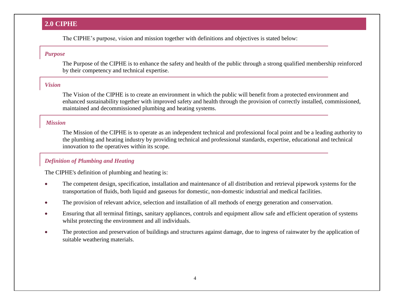## **2.0 CIPHE**

The CIPHE's purpose, vision and mission together with definitions and objectives is stated below:

### *Purpose*

The Purpose of the CIPHE is to enhance the safety and health of the public through a strong qualified membership reinforced by their competency and technical expertise.

## *Vision*

The Vision of the CIPHE is to create an environment in which the public will benefit from a protected environment and enhanced sustainability together with improved safety and health through the provision of correctly installed, commissioned, maintained and decommissioned plumbing and heating systems.

## *Mission*

The Mission of the CIPHE is to operate as an independent technical and professional focal point and be a leading authority to the plumbing and heating industry by providing technical and professional standards, expertise, educational and technical innovation to the operatives within its scope.

## *Definition of Plumbing and Heating*

The CIPHE's definition of plumbing and heating is:

- The competent design, specification, installation and maintenance of all distribution and retrieval pipework systems for the transportation of fluids, both liquid and gaseous for domestic, non-domestic industrial and medical facilities.
- The provision of relevant advice, selection and installation of all methods of energy generation and conservation.
- Ensuring that all terminal fittings, sanitary appliances, controls and equipment allow safe and efficient operation of systems whilst protecting the environment and all individuals.
- The protection and preservation of buildings and structures against damage, due to ingress of rainwater by the application of suitable weathering materials.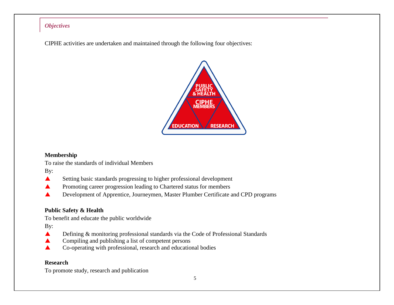## *Objectives*

CIPHE activities are undertaken and maintained through the following four objectives:



## **Membership**

To raise the standards of individual Members

By:

- Setting basic standards progressing to higher professional development
- **A** Promoting career progression leading to Chartered status for members
- ▲ Development of Apprentice, Journeymen, Master Plumber Certificate and CPD programs

## **Public Safety & Health**

To benefit and educate the public worldwide

By:

- Defining & monitoring professional standards via the Code of Professional Standards
- Compiling and publishing a list of competent persons
- Co-operating with professional, research and educational bodies

## **Research**

To promote study, research and publication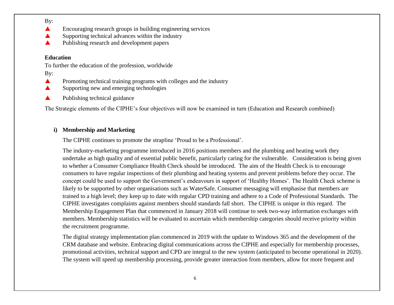By:

- **A** Encouraging research groups in building engineering services
- $\triangle$  Supporting technical advances within the industry
- A Publishing research and development papers

## **Education**

To further the education of the profession, worldwide

By:

- **A** Promoting technical training programs with colleges and the industry
- Supporting new and emerging technologies
- Publishing technical guidance

The Strategic elements of the CIPHE's four objectives will now be examined in turn (Education and Research combined)

## **i) Membership and Marketing**

The CIPHE continues to promote the strapline 'Proud to be a Professional'.

The industry-marketing programme introduced in 2016 positions members and the plumbing and heating work they undertake as high quality and of essential public benefit, particularly caring for the vulnerable. Consideration is being given to whether a Consumer Compliance Health Check should be introduced. The aim of the Health Check is to encourage consumers to have regular inspections of their plumbing and heating systems and prevent problems before they occur. The concept could be used to support the Government's endeavours in support of 'Healthy Homes'. The Health Check scheme is likely to be supported by other organisations such as WaterSafe. Consumer messaging will emphasise that members are trained to a high level; they keep up to date with regular CPD training and adhere to a Code of Professional Standards. The CIPHE investigates complaints against members should standards fall short. The CIPHE is unique in this regard. The Membership Engagement Plan that commenced in January 2018 will continue to seek two-way information exchanges with members. Membership statistics will be evaluated to ascertain which membership categories should receive priority within the recruitment programme.

The digital strategy implementation plan commenced in 2019 with the update to Windows 365 and the development of the CRM database and website. Embracing digital communications across the CIPHE and especially for membership processes, promotional activities, technical support and CPD are integral to the new system (anticipated to become operational in 2020). The system will speed up membership processing, provide greater interaction from members, allow for more frequent and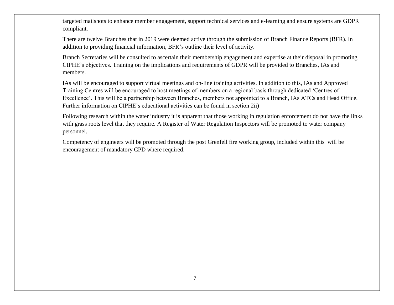targeted mailshots to enhance member engagement, support technical services and e-learning and ensure systems are GDPR compliant.

There are twelve Branches that in 2019 were deemed active through the submission of Branch Finance Reports (BFR). In addition to providing financial information, BFR's outline their level of activity.

Branch Secretaries will be consulted to ascertain their membership engagement and expertise at their disposal in promoting CIPHE's objectives. Training on the implications and requirements of GDPR will be provided to Branches, IAs and members.

IAs will be encouraged to support virtual meetings and on-line training activities. In addition to this, IAs and Approved Training Centres will be encouraged to host meetings of members on a regional basis through dedicated 'Centres of Excellence'. This will be a partnership between Branches, members not appointed to a Branch, IAs ATCs and Head Office. Further information on CIPHE's educational activities can be found in section 2ii)

Following research within the water industry it is apparent that those working in regulation enforcement do not have the links with grass roots level that they require. A Register of Water Regulation Inspectors will be promoted to water company personnel.

Competency of engineers will be promoted through the post Grenfell fire working group, included within this will be encouragement of mandatory CPD where required.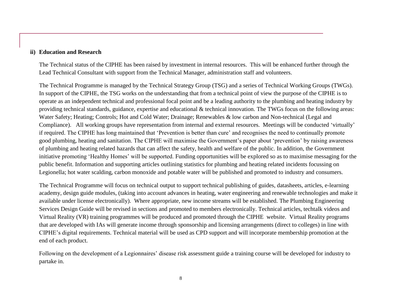#### **ii) Education and Research**

The Technical status of the CIPHE has been raised by investment in internal resources. This will be enhanced further through the Lead Technical Consultant with support from the Technical Manager, administration staff and volunteers.

The Technical Programme is managed by the Technical Strategy Group (TSG) and a series of Technical Working Groups (TWGs). In support of the CIPHE, the TSG works on the understanding that from a technical point of view the purpose of the CIPHE is to operate as an independent technical and professional focal point and be a leading authority to the plumbing and heating industry by providing technical standards, guidance, expertise and educational & technical innovation. The TWGs focus on the following areas: Water Safety; Heating; Controls; Hot and Cold Water; Drainage; Renewables & low carbon and Non-technical (Legal and Compliance). All working groups have representation from internal and external resources. Meetings will be conducted 'virtually' if required. The CIPHE has long maintained that 'Prevention is better than cure' and recognises the need to continually promote good plumbing, heating and sanitation. The CIPHE will maximise the Government's paper about 'prevention' by raising awareness of plumbing and heating related hazards that can affect the safety, health and welfare of the public. In addition, the Government initiative promoting 'Healthy Homes' will be supported. Funding opportunities will be explored so as to maximise messaging for the public benefit. Information and supporting articles outlining statistics for plumbing and heating related incidents focussing on Legionella; hot water scalding, carbon monoxide and potable water will be published and promoted to industry and consumers.

The Technical Programme will focus on technical output to support technical publishing of guides, datasheets, articles, e-learning academy, design guide modules, (taking into account advances in heating, water engineering and renewable technologies and make it available under license electronically). Where appropriate, new income streams will be established. The Plumbing Engineering Services Design Guide will be revised in sections and promoted to members electronically. Technical articles, techtalk videos and Virtual Reality (VR) training programmes will be produced and promoted through the CIPHE website. Virtual Reality programs that are developed with IAs will generate income through sponsorship and licensing arrangements (direct to colleges) in line with CIPHE's digital requirements. Technical material will be used as CPD support and will incorporate membership promotion at the end of each product.

Following on the development of a Legionnaires' disease risk assessment guide a training course will be developed for industry to partake in.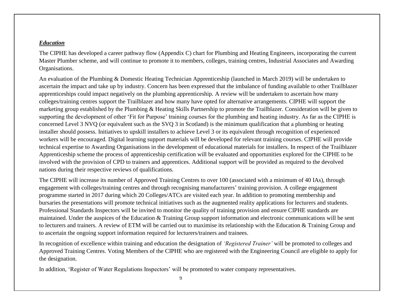#### *Education*

The CIPHE has developed a career pathway flow (Appendix C) chart for Plumbing and Heating Engineers, incorporating the current Master Plumber scheme, and will continue to promote it to members, colleges, training centres, Industrial Associates and Awarding Organisations.

An evaluation of the Plumbing & Domestic Heating Technician Apprenticeship (launched in March 2019) will be undertaken to ascertain the impact and take up by industry. Concern has been expressed that the imbalance of funding available to other Trailblazer apprenticeships could impact negatively on the plumbing apprenticeship. A review will be undertaken to ascertain how many colleges/training centres support the Trailblazer and how many have opted for alternative arrangements. CIPHE will support the marketing group established by the Plumbing & Heating Skills Partnership to promote the Trailblazer. Consideration will be given to supporting the development of other 'Fit for Purpose' training courses for the plumbing and heating industry. As far as the CIPHE is concerned Level 3 NVQ (or equivalent such as the SVQ 3 in Scotland) is the minimum qualification that a plumbing or heating installer should possess. Initiatives to upskill installers to achieve Level 3 or its equivalent through recognition of experienced workers will be encouraged. Digital learning support materials will be developed for relevant training courses. CIPHE will provide technical expertise to Awarding Organisations in the development of educational materials for installers. In respect of the Trailblazer Apprenticeship scheme the process of apprenticeship certification will be evaluated and opportunities explored for the CIPHE to be involved with the provision of CPD to trainers and apprentices. Additional support will be provided as required to the devolved nations during their respective reviews of qualifications.

The CIPHE will increase its number of Approved Training Centres to over 100 (associated with a minimum of 40 IAs), through engagement with colleges/training centres and through recognising manufacturers' training provision. A college engagement programme started in 2017 during which 20 Colleges/ATCs are visited each year. In addition to promoting membership and bursaries the presentations will promote technical initiatives such as the augmented reality applications for lecturers and students. Professional Standards Inspectors will be invited to monitor the quality of training provision and ensure CIPHE standards are maintained. Under the auspices of the Education & Training Group support information and electronic communications will be sent to lecturers and trainers. A review of ETM will be carried out to maximise its relationship with the Education & Training Group and to ascertain the ongoing support information required for lecturers/trainers and trainees.

In recognition of excellence within training and education the designation of *'Registered Trainer'* will be promoted to colleges and Approved Training Centres. Voting Members of the CIPHE who are registered with the Engineering Council are eligible to apply for the designation.

In addition, 'Register of Water Regulations Inspectors' will be promoted to water company representatives.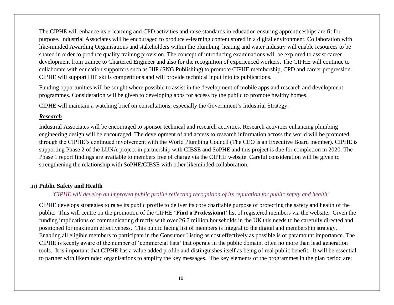The CIPHE will enhance its e-learning and CPD activities and raise standards in education ensuring apprenticeships are fit for purpose. Industrial Associates will be encouraged to produce e-learning content stored in a digital environment. Collaboration with like-minded Awarding Organisations and stakeholders within the plumbing, heating and water industry will enable resources to be shared in order to produce quality training provision. The concept of introducing examinations will be explored to assist career development from trainee to Chartered Engineer and also for the recognition of experienced workers. The CIPHE will continue to collaborate with education supporters such as HIP (SNG Publishing) to promote CIPHE membership, CPD and career progression. CIPHE will support HIP skills competitions and will provide technical input into its publications.

Funding opportunities will be sought where possible to assist in the development of mobile apps and research and development programmes. Consideration will be given to developing apps for access by the public to promote healthy homes.

CIPHE will maintain a watching brief on consultations, especially the Government's Industrial Strategy.

#### *Research*

Industrial Associates will be encouraged to sponsor technical and research activities. Research activities enhancing plumbing engineering design will be encouraged. The development of and access to research information across the world will be promoted through the CIPHE's continued involvement with the World Plumbing Council (The CEO is an Executive Board member). CIPHE is supporting Phase 2 of the LUNA project in partnership with CIBSE and SoPHE and this project is due for completion in 2020. The Phase 1 report findings are available to members free of charge via the CIPHE website. Careful consideration will be given to strengthening the relationship with SoPHE/CIBSE with other likeminded collaboration.

### iii) **Public Safety and Health**

### *'CIPHE will develop an improved public profile reflecting recognition of its reputation for public safety and health'*

CIPHE develops strategies to raise its public profile to deliver its core charitable purpose of protecting the safety and health of the public. This will centre on the promotion of the CIPHE **'Find a Professional'** list of registered members via the website. Given the funding implications of communicating directly with over 26.7 million households in the UK this needs to be carefully directed and positioned for maximum effectiveness. This public facing list of members is integral to the digital and membership strategy. Enabling all eligible members to participate in the Consumer Listing as cost effectively as possible is of paramount importance. The CIPHE is keenly aware of the number of 'commercial lists' that operate in the public domain, often no more than lead generation tools. It is important that CIPHE has a value added profile and distinguishes itself as being of real public benefit. It will be essential to partner with likeminded organisations to amplify the key messages. The key elements of the programmes in the plan period are: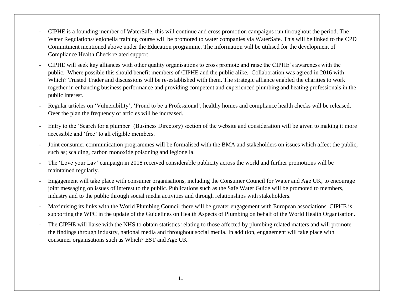- CIPHE is a founding member of WaterSafe, this will continue and cross promotion campaigns run throughout the period. The Water Regulations/legionella training course will be promoted to water companies via WaterSafe. This will be linked to the CPD Commitment mentioned above under the Education programme. The information will be utilised for the development of Compliance Health Check related support.
- CIPHE will seek key alliances with other quality organisations to cross promote and raise the CIPHE's awareness with the public. Where possible this should benefit members of CIPHE and the public alike. Collaboration was agreed in 2016 with Which? Trusted Trader and discussions will be re-established with them. The strategic alliance enabled the charities to work together in enhancing business performance and providing competent and experienced plumbing and heating professionals in the public interest.
- Regular articles on 'Vulnerability', 'Proud to be a Professional', healthy homes and compliance health checks will be released. Over the plan the frequency of articles will be increased.
- Entry to the 'Search for a plumber' (Business Directory) section of the website and consideration will be given to making it more accessible and 'free' to all eligible members.
- Joint consumer communication programmes will be formalised with the BMA and stakeholders on issues which affect the public, such as; scalding, carbon monoxide poisoning and legionella.
- The 'Love your Lav' campaign in 2018 received considerable publicity across the world and further promotions will be maintained regularly.
- Engagement will take place with consumer organisations, including the Consumer Council for Water and Age UK, to encourage joint messaging on issues of interest to the public. Publications such as the Safe Water Guide will be promoted to members, industry and to the public through social media activities and through relationships with stakeholders.
- Maximising its links with the World Plumbing Council there will be greater engagement with European associations. CIPHE is supporting the WPC in the update of the Guidelines on Health Aspects of Plumbing on behalf of the World Health Organisation.
- The CIPHE will liaise with the NHS to obtain statistics relating to those affected by plumbing related matters and will promote the findings through industry, national media and throughout social media. In addition, engagement will take place with consumer organisations such as Which? EST and Age UK.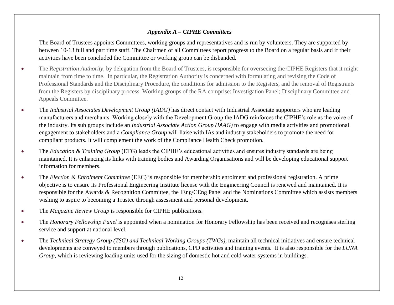## *Appendix A – CIPHE Committees*

The Board of Trustees appoints Committees, working groups and representatives and is run by volunteers. They are supported by between 10-13 full and part time staff. The Chairmen of all Committees report progress to the Board on a regular basis and if their activities have been concluded the Committee or working group can be disbanded.

- The *Registration Authority*, by delegation from the Board of Trustees, is responsible for overseeing the CIPHE Registers that it might maintain from time to time. In particular, the Registration Authority is concerned with formulating and revising the Code of Professional Standards and the Disciplinary Procedure, the conditions for admission to the Registers, and the removal of Registrants from the Registers by disciplinary process. Working groups of the RA comprise: Investigation Panel; Disciplinary Committee and Appeals Committee.
- The *Industrial Associates Development Group (IADG)* has direct contact with Industrial Associate supporters who are leading manufacturers and merchants. Working closely with the Development Group the IADG reinforces the CIPHE's role as the voice of the industry. Its sub groups include an *Industrial Associate Action Group (IAAG)* to engage with media activities and promotional engagement to stakeholders and a *Compliance Group* will liaise with IAs and industry stakeholders to promote the need for compliant products. It will complement the work of the Compliance Health Check promotion.
- The *Education & Training Group* (ETG) leads the CIPHE's educational activities and ensures industry standards are being maintained. It is enhancing its links with training bodies and Awarding Organisations and will be developing educational support information for members.
- The *Election & Enrolment Committee* (EEC) is responsible for membership enrolment and professional registration. A prime objective is to ensure its Professional Engineering Institute license with the Engineering Council is renewed and maintained. It is responsible for the Awards & Recognition Committee, the IEng/CEng Panel and the Nominations Committee which assists members wishing to aspire to becoming a Trustee through assessment and personal development.
- The *Magazine Review Group* is responsible for CIPHE publications.
- The *Honorary Fellowship Panel* is appointed when a nomination for Honorary Fellowship has been received and recognises sterling service and support at national level.
- The *Technical Strategy Group (TSG) and Technical Working Groups (TWGs),* maintain all technical initiatives and ensure technical developments are conveyed to members through publications, CPD activities and training events. It is also responsible for the *LUNA Group*, which is reviewing loading units used for the sizing of domestic hot and cold water systems in buildings.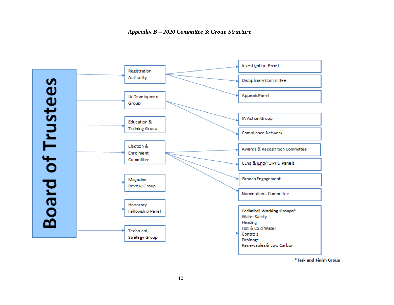



\*Task and Finish Group